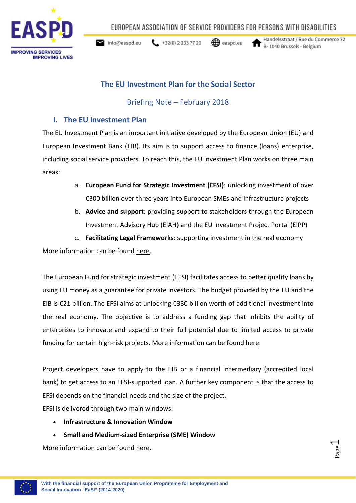

EUROPEAN ASSOCIATION OF SERVICE PROVIDERS FOR PERSONS WITH DISABILITIES

 $\leftarrow$  +32(0) 2 233 77 20  $\blacktriangleright$  info@easpd.eu

**<del></u>** easpd.eu</del>

Handelsstraat / Rue du Commerce 72 B-1040 Brussels - Belgium

# **The EU Investment Plan for the Social Sector**

## Briefing Note – February 2018

## **I. The EU Investment Plan**

The [EU Investment Plan](https://ec.europa.eu/commission/priorities/jobs-growth-and-investment/investment-plan-europe-juncker-plan_en) is an important initiative developed by the European Union (EU) and European Investment Bank (EIB). Its aim is to support access to finance (loans) enterprise, including social service providers. To reach this, the EU Investment Plan works on three main areas:

- a. **European Fund for Strategic Investment (EFSI)**: unlocking investment of over €300 billion over three years into European SMEs and infrastructure projects
- b. **Advice and support**: providing support to stakeholders through the European Investment Advisory Hub (EIAH) and the EU Investment Project Portal (EIPP)
- c. **Facilitating Legal Frameworks**: supporting investment in the real economy

More information can be found [here.](https://ec.europa.eu/commission/priorities/jobs-growth-and-investment/investment-plan-europe-juncker-plan_en)

The European Fund for strategic investment (EFSI) facilitates access to better quality loans by using EU money as a guarantee for private investors. The budget provided by the EU and the EIB is €21 billion. The EFSI aims at unlocking €330 billion worth of additional investment into the real economy. The objective is to address a funding gap that inhibits the ability of enterprises to innovate and expand to their full potential due to limited access to private funding for certain high-risk projects. More information can be found [here.](http://www.eib.org/efsi/what-is-efsi/index.htm)

Project developers have to apply to the EIB or a financial intermediary (accredited local bank) to get access to an EFSI-supported loan. A further key component is that the access to EFSI depends on the financial needs and the size of the project.

EFSI is delivered through two main windows:

- **Infrastructure & Innovation Window**
- **Small and Medium-sized Enterprise (SME) Window**

More information can be found [here.](http://www.socialinvestment.eu/en/social/general-info)

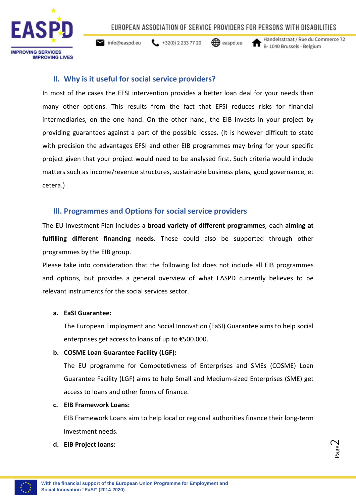EUROPEAN ASSOCIATION OF SERVICE PROVIDERS FOR PERSONS WITH DISABILITIES



 $432(0) 22337720$  $\blacktriangleright$  info@easpd.eu

**←** easpd.eu

Handelsstraat / Rue du Commerce 72 B-1040 Brussels - Belgium

## **II. Why is it useful for social service providers?**

In most of the cases the EFSI intervention provides a better loan deal for your needs than many other options. This results from the fact that EFSI reduces risks for financial intermediaries, on the one hand. On the other hand, the EIB invests in your project by providing guarantees against a part of the possible losses. (It is however difficult to state with precision the advantages EFSI and other EIB programmes may bring for your specific project given that your project would need to be analysed first. Such criteria would include matters such as income/revenue structures, sustainable business plans, good governance, et cetera.)

## **III. Programmes and Options for social service providers**

The EU Investment Plan includes a **broad variety of different programmes**, each **aiming at fulfilling different financing needs**. These could also be supported through other programmes by the EIB group.

Please take into consideration that the following list does not include all EIB programmes and options, but provides a general overview of what EASPD currently believes to be relevant instruments for the social services sector.

### **a. EaSI Guarantee:**

The European Employment and Social Innovation (EaSI) Guarantee aims to help social enterprises get access to loans of up t[o €5](https://de.wikipedia.org/wiki/Eurozeichen)00.000.

### **b. COSME Loan Guarantee Facility (LGF):**

The EU programme for Competetivness of Enterprises and SMEs (COSME) Loan Guarantee Facility (LGF) aims to help Small and Medium-sized Enterprises (SME) get access to loans and other forms of finance.

### **c. EIB Framework Loans:**

EIB Framework Loans aim to help local or regional authorities finance their long-term investment needs.

### **d. EIB Project loans:**

Page  $\curvearrowright$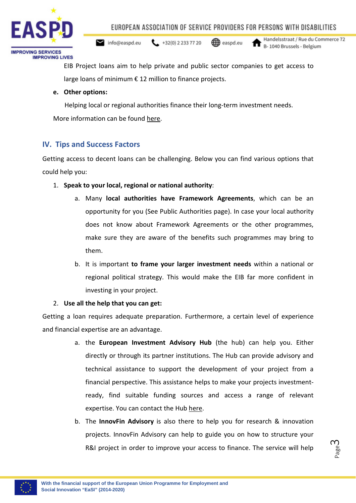

 $\leftarrow$  +32(0) 2 233 77 20  $\blacktriangleright$  info@easpd.eu

**←** easpd.eu

Handelsstraat / Rue du Commerce 72 B-1040 Brussels - Belgium

EIB Project loans aim to help private and public sector companies to get access to large loans of minimum  $\epsilon$  12 million to finance projects.

### **e. Other options:**

Helping local or regional authorities finance their long-term investment needs.

More information can be found [here.](http://www.socialinvestment.eu/en/social/programmes)

## **IV. Tips and Success Factors**

Getting access to decent loans can be challenging. Below you can find various options that could help you:

- 1. **Speak to your local, regional or national authority**:
	- a. Many **local authorities have Framework Agreements**, which can be an opportunity for you (See Public Authorities page). In case your local authority does not know about Framework Agreements or the other programmes, make sure they are aware of the benefits such programmes may bring to them.
	- b. It is important **to frame your larger investment needs** within a national or regional political strategy. This would make the EIB far more confident in investing in your project.

## 2. **Use all the help that you can get:**

Getting a loan requires adequate preparation. Furthermore, a certain level of experience and financial expertise are an advantage.

- a. the **European Investment Advisory Hub** (the hub) can help you. Either directly or through its partner institutions. The Hub can provide advisory and technical assistance to support the development of your project from a financial perspective. This assistance helps to make your projects investmentready, find suitable funding sources and access a range of relevant expertise. You can contact the Hub [here.](http://www.eib.org/eiah/about/index)
- b. The **InnovFin Advisory** is also there to help you for research & innovation projects. InnovFin Advisory can help to guide you on how to structure your R&I project in order to improve your access to finance. The service will help

Page ന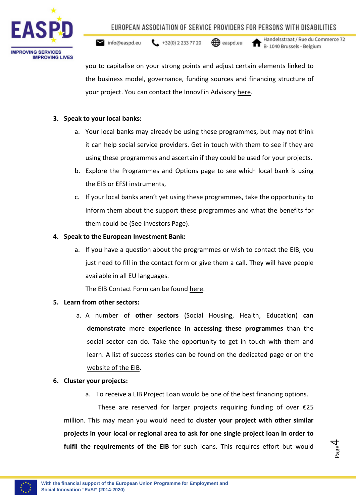

 $\leftarrow$  +32(0) 2 233 77 20  $\blacktriangleright$  info@easpd.eu

**↔** easpd.eu

Handelsstraat / Rue du Commerce 72 B-1040 Brussels - Belgium

> Page 4

you to capitalise on your strong points and adjust certain elements linked to the business model, governance, funding sources and financing structure of your project. You can contact the InnovFin Advisory [here.](http://www.eib.org/products/advising/innovfin-advisory/index.htm)

### **3. Speak to your local banks:**

- a. Your local banks may already be using these programmes, but may not think it can help social service providers. Get in touch with them to see if they are using these programmes and ascertain if they could be used for your projects.
- b. Explore the Programmes and Options page to see which local bank is using the EIB or EFSI instruments,
- c. If your local banks aren't yet using these programmes, take the opportunity to inform them about the support these programmes and what the benefits for them could be (See Investors Page).

### **4. Speak to the European Investment Bank:**

a. If you have a question about the programmes or wish to contact the EIB, you just need to fill in the contact form or give them a call. They will have people available in all EU languages.

The EIB Contact Form can be found [here.](http://www.eib.org/infocentre/contact-form.htm)

## **5. Learn from other sectors:**

a. A number of **other sectors** (Social Housing, Health, Education) **can demonstrate** more **experience in accessing these programmes** than the social sector can do. Take the opportunity to get in touch with them and learn. A list of success stories can be found on the dedicated page or on the [website of the EIB.](http://www.eib.org/projects/index.htm)

### **6. Cluster your projects:**

a. To receive a EIB Project Loan would be one of the best financing options.

 These are reserved for larger projects requiring funding of over €25 million. This may mean you would need to **cluster your project with other similar projects in your local or regional area to ask for one single project loan in order to fulfil the requirements of the EIB** for such loans. This requires effort but would

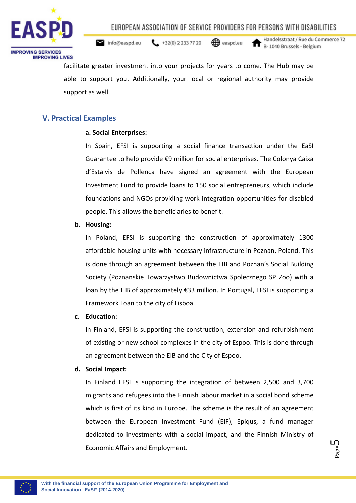

 $\leftarrow$  +32(0) 2 233 77 20  $\blacktriangleright$  info@easpd.eu

**↔** easpd.eu

Handelsstraat / Rue du Commerce 72 B-1040 Brussels - Belgium

> Page பி

facilitate greater investment into your projects for years to come. The Hub may be able to support you. Additionally, your local or regional authority may provide support as well.

## **V. Practical Examples**

### **a. Social Enterprises:**

In Spain, EFSI is supporting a social finance transaction under the EaSI Guarantee to help provide €9 million for social enterprises. The Colonya Caixa d'Estalvis de Pollença have signed an agreement with the European Investment Fund to provide loans to 150 social entrepreneurs, which include foundations and NGOs providing work integration opportunities for disabled people. This allows the beneficiaries to benefit.

### **b. Housing:**

In Poland, EFSI is supporting the construction of approximately 1300 affordable housing units with necessary infrastructure in Poznan, Poland. This is done through an agreement between the EIB and Poznan's Social Building Society (Poznanskie Towarzystwo Budownictwa Spolecznego SP Zoo) with a loan by the EIB of approximately €33 million. In Portugal, EFSI is supporting a Framework Loan to the city of Lisboa.

### **c. Education:**

In Finland, EFSI is supporting the construction, extension and refurbishment of existing or new school complexes in the city of Espoo. This is done through an agreement between the EIB and the City of Espoo.

### **d. Social Impact:**

In Finland EFSI is supporting the integration of between 2,500 and 3,700 migrants and refugees into the Finnish labour market in a social bond scheme which is first of its kind in Europe. The scheme is the result of an agreement between the European Investment Fund (EIF), Epiqus, a fund manager dedicated to investments with a social impact, and the Finnish Ministry of Economic Affairs and Employment.